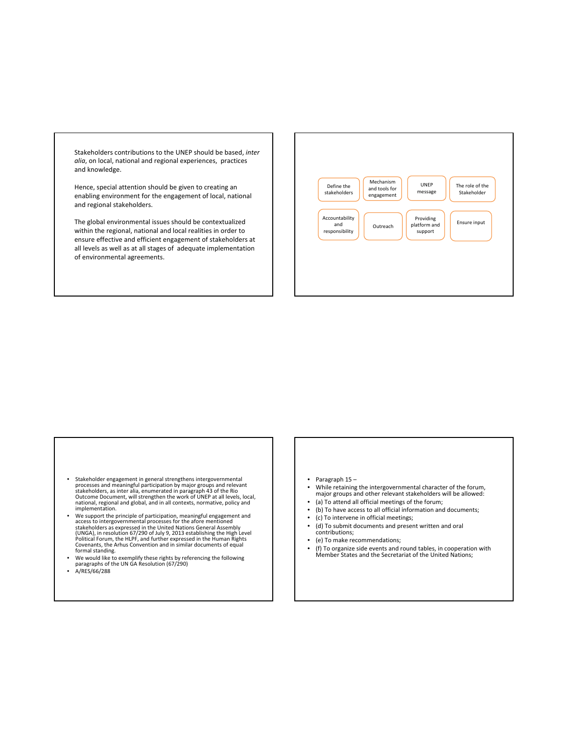Stakeholders contributions to the UNEP should be based, *inter alia*, on local, national and regional experiences, practices and knowledge.

Hence, special attention should be given to creating an enabling environment for the engagement of local, national and regional stakeholders.

The global environmental issues should be contextualized within the regional, national and local realities in order to ensure effective and efficient engagement of stakeholders at all levels as well as at all stages of adequate implementation of environmental agreements.



- Stakeholder engagement in general strengthens intergovernmental<br>processes and meaningful participation by major groups and relevant<br>stakeholders, as inter alia, enumerated in paragraph 43 of the Rio<br>Outcome Document, wil national, regional and global, and in all contexts, normative, policy and implementation.
- We support the principle of participation, meaningful engagement and access to intergovernmental processes for the afore mentioned stakeholders as expressed in the United Nations General Assembly (UNGA), in resolution 67/2 (UNGA), in resolution 67/290 of July 9, 2013 establishing the High Level<br>Political Forum, the HLPF, and further expressed in the Human Rights<br>Covenants, the Arhus Convention and in similar documents of equal<br>formal standin
- We would like to exemplify these rights by referencing the following paragraphs of the UN GA Resolution (67/290)
- A/RES/66/288
- Paragraph 15 –<br>• While retaining
- While retaining the intergovernmental character of the forum, major groups and other relevant stakeholders will be allowed: • (a) To attend all official meetings of the forum;
- (b) To have access to all official information and documents;
- (c) To intervene in official meetings;
- (d) To submit documents and present written and oral contributions;
- (e) To make recommendations;
- (f) To organize side events and round tables, in cooperation with Member States and the Secretariat of the United Nations;